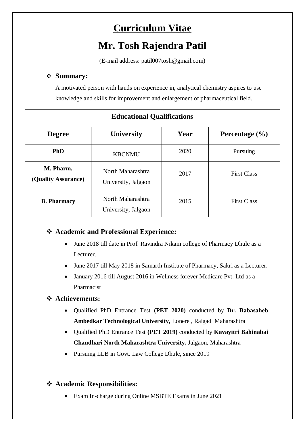# **Curriculum Vitae**

# **Mr. Tosh Rajendra Patil**

(E-mail address: patil007tosh@gmail.com)

# **Summary:**

A motivated person with hands on experience in, analytical chemistry aspires to use knowledge and skills for improvement and enlargement of pharmaceutical field.

| <b>Educational Qualifications</b> |                                          |      |                    |
|-----------------------------------|------------------------------------------|------|--------------------|
| <b>Degree</b>                     | <b>University</b>                        | Year | Percentage $(\% )$ |
| <b>PhD</b>                        | <b>KBCNMU</b>                            | 2020 | Pursuing           |
| M. Pharm.<br>(Quality Assurance)  | North Maharashtra<br>University, Jalgaon | 2017 | <b>First Class</b> |
| <b>B.</b> Pharmacy                | North Maharashtra<br>University, Jalgaon | 2015 | <b>First Class</b> |

# **Academic and Professional Experience:**

- June 2018 till date in Prof. Ravindra Nikam college of Pharmacy Dhule as a Lecturer.
- June 2017 till May 2018 in Samarth Institute of Pharmacy, Sakri as a Lecturer.
- January 2016 till August 2016 in Wellness forever Medicare Pvt. Ltd as a Pharmacist

# **Achievements:**

- Qualified PhD Entrance Test **(PET 2020)** conducted by **Dr. Babasaheb Ambedkar Technological University,** Lonere , Raigad Maharashtra
- Qualified PhD Entrance Test **(PET 2019)** conducted by **Kavayitri Bahinabai Chaudhari North Maharashtra University,** Jalgaon, Maharashtra
- Pursuing LLB in Govt. Law College Dhule, since 2019

# **Academic Responsibilities:**

Exam In-charge during Online MSBTE Exams in June 2021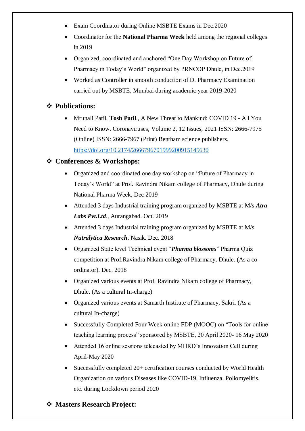- Exam Coordinator during Online MSBTE Exams in Dec. 2020
- Coordinator for the **National Pharma Week** held among the regional colleges in 2019
- Organized, coordinated and anchored "One Day Workshop on Future of Pharmacy in Today's World" organized by PRNCOP Dhule, in Dec.2019
- Worked as Controller in smooth conduction of D. Pharmacy Examination carried out by MSBTE, Mumbai during academic year 2019-2020

#### **Publications:**

 Mrunali Patil, **Tosh Patil**., A New Threat to Mankind: COVID 19 - All You Need to Know. Coronaviruses, Volume 2, 12 Issues, 2021 ISSN: 2666-7975 (Online) ISSN: 2666-7967 (Print) Bentham science publishers. <https://doi.org/10.2174/2666796701999200915145630>

#### **Conferences & Workshops:**

- Organized and coordinated one day workshop on "Future of Pharmacy in Today's World" at Prof. Ravindra Nikam college of Pharmacy, Dhule during National Pharma Week, Dec 2019
- Attended 3 days Industrial training program organized by MSBTE at M/s *Atra Labs Pvt.Ltd*., Aurangabad. Oct. 2019
- Attended 3 days Industrial training program organized by MSBTE at M/s *Nutralytica Research*, Nasik. Dec. 2018
- Organized State level Technical event "*Pharma blossoms*" Pharma Quiz competition at Prof.Ravindra Nikam college of Pharmacy, Dhule. (As a coordinator). Dec. 2018
- Organized various events at Prof. Ravindra Nikam college of Pharmacy, Dhule. (As a cultural In-charge)
- Organized various events at Samarth Institute of Pharmacy, Sakri. (As a cultural In-charge)
- Successfully Completed Four Week online FDP (MOOC) on "Tools for online teaching learning process" sponsored by MSBTE, 20 April 2020- 16 May 2020
- Attended 16 online sessions telecasted by MHRD's Innovation Cell during April-May 2020
- Successfully completed 20+ certification courses conducted by World Health Organization on various Diseases like COVID-19, Influenza, Poliomyelitis, etc. during Lockdown period 2020

#### **Masters Research Project:**